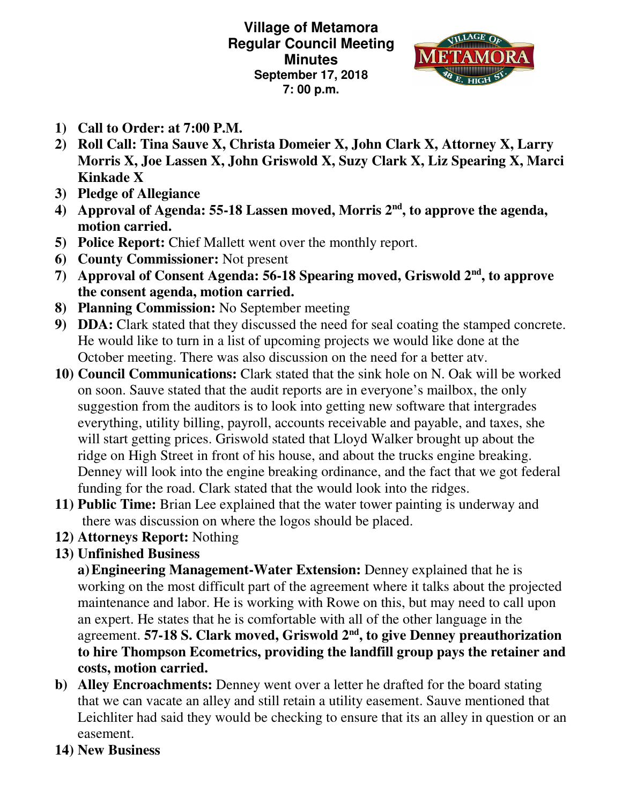**Village of Metamora Regular Council Meeting Minutes September 17, 2018 7: 00 p.m.** 



- **1) Call to Order: at 7:00 P.M.**
- **2) Roll Call: Tina Sauve X, Christa Domeier X, John Clark X, Attorney X, Larry Morris X, Joe Lassen X, John Griswold X, Suzy Clark X, Liz Spearing X, Marci Kinkade X**
- **3) Pledge of Allegiance**
- **4) Approval of Agenda: 55-18 Lassen moved, Morris 2nd, to approve the agenda, motion carried.**
- **5) Police Report:** Chief Mallett went over the monthly report.
- **6) County Commissioner:** Not present
- **7) Approval of Consent Agenda: 56-18 Spearing moved, Griswold 2nd, to approve the consent agenda, motion carried.**
- **8) Planning Commission:** No September meeting
- **9) DDA:** Clark stated that they discussed the need for seal coating the stamped concrete. He would like to turn in a list of upcoming projects we would like done at the October meeting. There was also discussion on the need for a better atv.
- **10) Council Communications:** Clark stated that the sink hole on N. Oak will be worked on soon. Sauve stated that the audit reports are in everyone's mailbox, the only suggestion from the auditors is to look into getting new software that intergrades everything, utility billing, payroll, accounts receivable and payable, and taxes, she will start getting prices. Griswold stated that Lloyd Walker brought up about the ridge on High Street in front of his house, and about the trucks engine breaking. Denney will look into the engine breaking ordinance, and the fact that we got federal funding for the road. Clark stated that the would look into the ridges.
- **11) Public Time:** Brian Lee explained that the water tower painting is underway and there was discussion on where the logos should be placed.
- **12) Attorneys Report:** Nothing
- **13) Unfinished Business**

**a)Engineering Management-Water Extension:** Denney explained that he is working on the most difficult part of the agreement where it talks about the projected maintenance and labor. He is working with Rowe on this, but may need to call upon an expert. He states that he is comfortable with all of the other language in the agreement. **57-18 S. Clark moved, Griswold 2nd, to give Denney preauthorization to hire Thompson Ecometrics, providing the landfill group pays the retainer and costs, motion carried.** 

- **b) Alley Encroachments:** Denney went over a letter he drafted for the board stating that we can vacate an alley and still retain a utility easement. Sauve mentioned that Leichliter had said they would be checking to ensure that its an alley in question or an easement.
- **14) New Business**